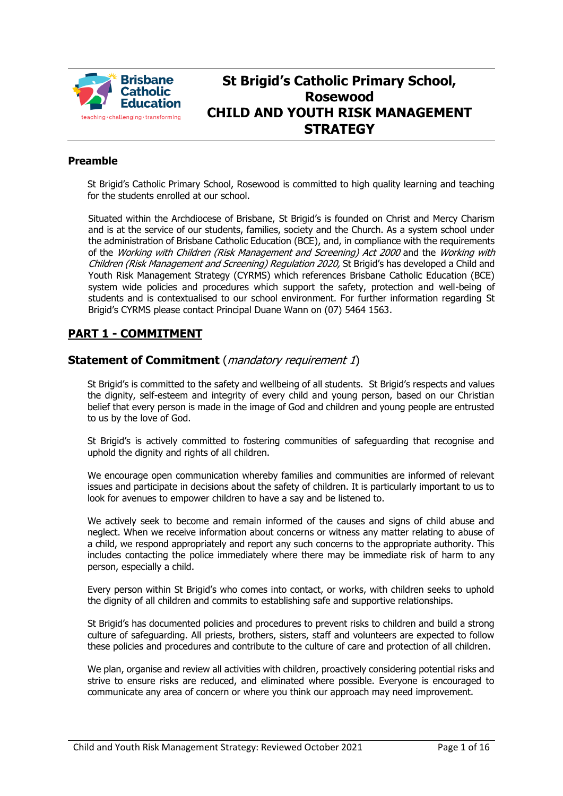

# **St Brigid's Catholic Primary School, Rosewood CHILD AND YOUTH RISK MANAGEMENT STRATEGY**

## **Preamble**

St Brigid's Catholic Primary School, Rosewood is committed to high quality learning and teaching for the students enrolled at our school.

Situated within the Archdiocese of Brisbane, St Brigid's is founded on Christ and Mercy Charism and is at the service of our students, families, society and the Church. As a system school under the administration of Brisbane Catholic Education (BCE), and, in compliance with the requirements of the Working with Children (Risk Management and Screening) Act 2000 and the Working with Children (Risk Management and Screening) Regulation 2020, St Brigid's has developed a Child and Youth Risk Management Strategy (CYRMS) which references Brisbane Catholic Education (BCE) system wide policies and procedures which support the safety, protection and well-being of students and is contextualised to our school environment. For further information regarding St Brigid's CYRMS please contact Principal Duane Wann on (07) 5464 1563.

# **PART 1 - COMMITMENT**

## **Statement of Commitment** (*mandatory requirement 1*)

St Brigid's is committed to the safety and wellbeing of all students. St Brigid's respects and values the dignity, self-esteem and integrity of every child and young person, based on our Christian belief that every person is made in the image of God and children and young people are entrusted to us by the love of God.

St Brigid's is actively committed to fostering communities of safeguarding that recognise and uphold the dignity and rights of all children.

We encourage open communication whereby families and communities are informed of relevant issues and participate in decisions about the safety of children. It is particularly important to us to look for avenues to empower children to have a say and be listened to.

We actively seek to become and remain informed of the causes and signs of child abuse and neglect. When we receive information about concerns or witness any matter relating to abuse of a child, we respond appropriately and report any such concerns to the appropriate authority. This includes contacting the police immediately where there may be immediate risk of harm to any person, especially a child.

Every person within St Brigid's who comes into contact, or works, with children seeks to uphold the dignity of all children and commits to establishing safe and supportive relationships.

St Brigid's has documented policies and procedures to prevent risks to children and build a strong culture of safeguarding. All priests, brothers, sisters, staff and volunteers are expected to follow these policies and procedures and contribute to the culture of care and protection of all children.

We plan, organise and review all activities with children, proactively considering potential risks and strive to ensure risks are reduced, and eliminated where possible. Everyone is encouraged to communicate any area of concern or where you think our approach may need improvement.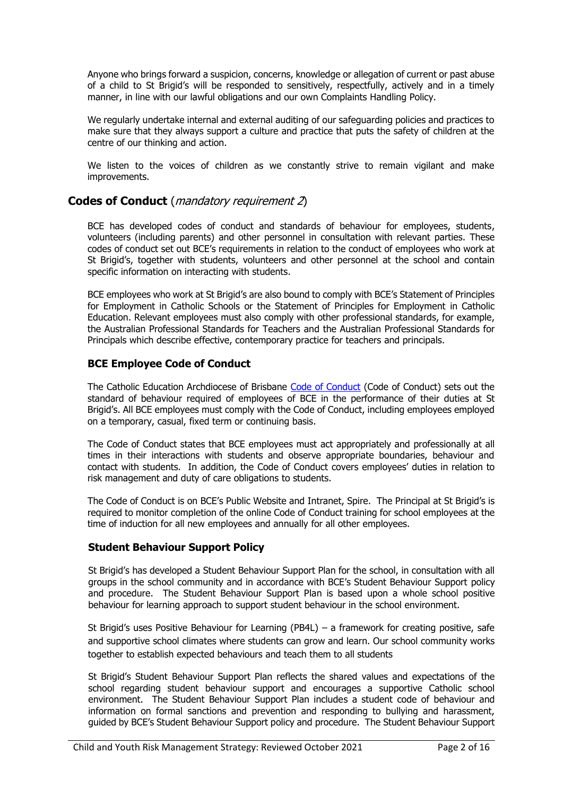Anyone who brings forward a suspicion, concerns, knowledge or allegation of current or past abuse of a child to St Brigid's will be responded to sensitively, respectfully, actively and in a timely manner, in line with our lawful obligations and our own Complaints Handling Policy.

We regularly undertake internal and external auditing of our safeguarding policies and practices to make sure that they always support a culture and practice that puts the safety of children at the centre of our thinking and action.

We listen to the voices of children as we constantly strive to remain vigilant and make improvements.

## **Codes of Conduct** (mandatory requirement 2)

BCE has developed codes of conduct and standards of behaviour for employees, students, volunteers (including parents) and other personnel in consultation with relevant parties. These codes of conduct set out BCE's requirements in relation to the conduct of employees who work at St Brigid's, together with students, volunteers and other personnel at the school and contain specific information on interacting with students.

BCE employees who work at St Brigid's are also bound to comply with BCE's Statement of Principles for Employment in Catholic Schools or the Statement of Principles for Employment in Catholic Education. Relevant employees must also comply with other professional standards, for example, the Australian Professional Standards for Teachers and the Australian Professional Standards for Principals which describe effective, contemporary practice for teachers and principals.

## **BCE Employee Code of Conduct**

The Catholic Education Archdiocese of Brisbane [Code of Conduct](http://www.bne.catholic.edu.au/bce-employment/new-employee-and-staff-benefits/Onboarding/BCE%20Code%20of%20Conduct.pdf) (Code of Conduct) sets out the standard of behaviour required of employees of BCE in the performance of their duties at St Brigid's. All BCE employees must comply with the Code of Conduct, including employees employed on a temporary, casual, fixed term or continuing basis.

The Code of Conduct states that BCE employees must act appropriately and professionally at all times in their interactions with students and observe appropriate boundaries, behaviour and contact with students. In addition, the Code of Conduct covers employees' duties in relation to risk management and duty of care obligations to students.

The Code of Conduct is on BCE's Public Website and Intranet, Spire. The Principal at St Brigid's is required to monitor completion of the online Code of Conduct training for school employees at the time of induction for all new employees and annually for all other employees.

## **Student Behaviour Support Policy**

St Brigid's has developed a Student Behaviour Support Plan for the school, in consultation with all groups in the school community and in accordance with BCE's Student Behaviour Support policy and procedure. The Student Behaviour Support Plan is based upon a whole school positive behaviour for learning approach to support student behaviour in the school environment.

St Brigid's uses Positive Behaviour for Learning (PB4L) – a framework for creating positive, safe and supportive school climates where students can grow and learn. Our school community works together to establish expected behaviours and teach them to all students

St Brigid's Student Behaviour Support Plan reflects the shared values and expectations of the school regarding student behaviour support and encourages a supportive Catholic school environment. The Student Behaviour Support Plan includes a student code of behaviour and information on formal sanctions and prevention and responding to bullying and harassment, guided by BCE's Student Behaviour Support policy and procedure. The Student Behaviour Support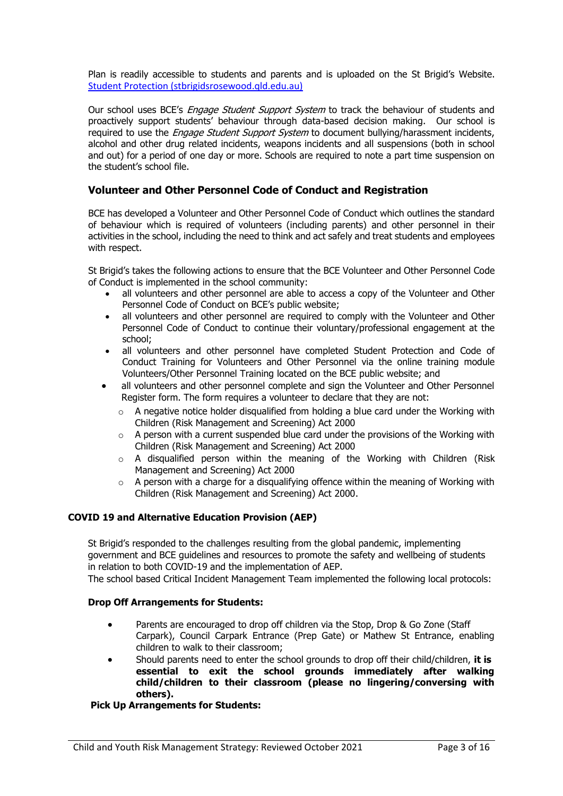Plan is readily accessible to students and parents and is uploaded on the St Brigid's Website. [Student Protection \(stbrigidsrosewood.qld.edu.au\)](http://www.stbrigidsrosewood.qld.edu.au/bce-policies/Pages/Student-Protection.aspx)

Our school uses BCE's *Engage Student Support System* to track the behaviour of students and proactively support students' behaviour through data-based decision making. Our school is required to use the *Engage Student Support System* to document bullying/harassment incidents, alcohol and other drug related incidents, weapons incidents and all suspensions (both in school and out) for a period of one day or more. Schools are required to note a part time suspension on the student's school file.

### **Volunteer and Other Personnel Code of Conduct and Registration**

BCE has developed a Volunteer and Other Personnel Code of Conduct which outlines the standard of behaviour which is required of volunteers (including parents) and other personnel in their activities in the school, including the need to think and act safely and treat students and employees with respect.

St Brigid's takes the following actions to ensure that the BCE Volunteer and Other Personnel Code of Conduct is implemented in the school community:

- all volunteers and other personnel are able to access a copy of the Volunteer and Other Personnel Code of Conduct on BCE's public website;
- all volunteers and other personnel are required to comply with the Volunteer and Other Personnel Code of Conduct to continue their voluntary/professional engagement at the school;
- all volunteers and other personnel have completed Student Protection and Code of Conduct Training for Volunteers and Other Personnel via the online training module Volunteers/Other Personnel Training located on the BCE public website; and
- all volunteers and other personnel complete and sign the Volunteer and Other Personnel Register form. The form requires a volunteer to declare that they are not:
	- $\circ$  A negative notice holder disqualified from holding a blue card under the Working with Children (Risk Management and Screening) Act 2000
	- $\circ$  A person with a current suspended blue card under the provisions of the Working with Children (Risk Management and Screening) Act 2000
	- $\circ$  A disqualified person within the meaning of the Working with Children (Risk Management and Screening) Act 2000
	- $\circ$  A person with a charge for a disqualifying offence within the meaning of Working with Children (Risk Management and Screening) Act 2000.

#### **COVID 19 and Alternative Education Provision (AEP)**

St Brigid's responded to the challenges resulting from the global pandemic, implementing government and BCE guidelines and resources to promote the safety and wellbeing of students in relation to both COVID-19 and the implementation of AEP.

The school based Critical Incident Management Team implemented the following local protocols:

#### **Drop Off Arrangements for Students:**

- Parents are encouraged to drop off children via the Stop, Drop & Go Zone (Staff Carpark), Council Carpark Entrance (Prep Gate) or Mathew St Entrance, enabling children to walk to their classroom;
- Should parents need to enter the school grounds to drop off their child/children, **it is essential to exit the school grounds immediately after walking child/children to their classroom (please no lingering/conversing with others).**

#### **Pick Up Arrangements for Students:**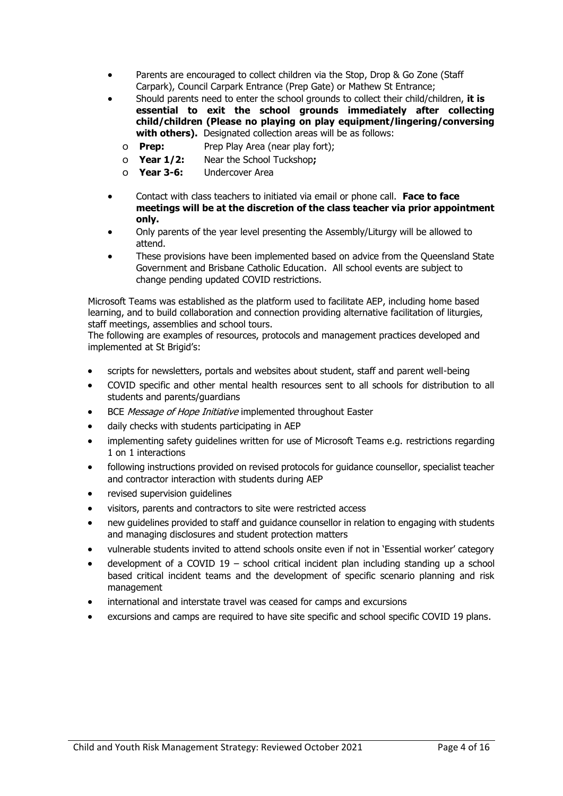- Parents are encouraged to collect children via the Stop, Drop & Go Zone (Staff Carpark), Council Carpark Entrance (Prep Gate) or Mathew St Entrance;
- Should parents need to enter the school grounds to collect their child/children, **it is essential to exit the school grounds immediately after collecting child/children (Please no playing on play equipment/lingering/conversing**  with others). Designated collection areas will be as follows:
	- o **Prep:** Prep Play Area (near play fort);
	- o **Year 1/2:** Near the School Tuckshop**;**
	- o **Year 3-6:** Undercover Area
- Contact with class teachers to initiated via email or phone call. **Face to face meetings will be at the discretion of the class teacher via prior appointment only.**
- Only parents of the year level presenting the Assembly/Liturgy will be allowed to attend.
- These provisions have been implemented based on advice from the Queensland State Government and Brisbane Catholic Education. All school events are subject to change pending updated COVID restrictions.

Microsoft Teams was established as the platform used to facilitate AEP, including home based learning, and to build collaboration and connection providing alternative facilitation of liturgies, staff meetings, assemblies and school tours.

The following are examples of resources, protocols and management practices developed and implemented at St Brigid's:

- scripts for newsletters, portals and websites about student, staff and parent well-being
- COVID specific and other mental health resources sent to all schools for distribution to all students and parents/guardians
- BCE Message of Hope Initiative implemented throughout Easter
- daily checks with students participating in AEP
- implementing safety guidelines written for use of Microsoft Teams e.g. restrictions regarding 1 on 1 interactions
- following instructions provided on revised protocols for guidance counsellor, specialist teacher and contractor interaction with students during AEP
- revised supervision quidelines
- visitors, parents and contractors to site were restricted access
- new guidelines provided to staff and guidance counsellor in relation to engaging with students and managing disclosures and student protection matters
- vulnerable students invited to attend schools onsite even if not in 'Essential worker' category
- development of a COVID 19 school critical incident plan including standing up a school based critical incident teams and the development of specific scenario planning and risk management
- international and interstate travel was ceased for camps and excursions
- excursions and camps are required to have site specific and school specific COVID 19 plans.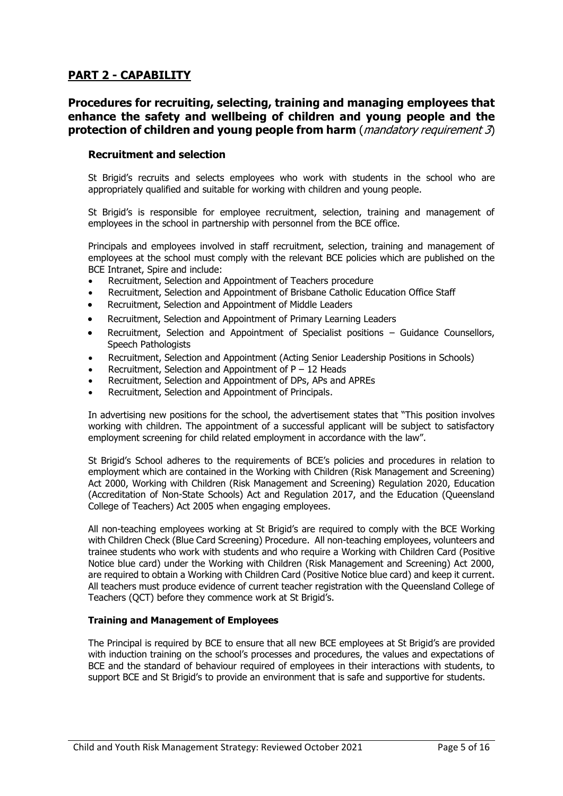# **PART 2 - CAPABILITY**

## **Procedures for recruiting, selecting, training and managing employees that enhance the safety and wellbeing of children and young people and the protection of children and young people from harm** (*mandatory requirement 3*)

#### **Recruitment and selection**

St Brigid's recruits and selects employees who work with students in the school who are appropriately qualified and suitable for working with children and young people.

St Brigid's is responsible for employee recruitment, selection, training and management of employees in the school in partnership with personnel from the BCE office.

Principals and employees involved in staff recruitment, selection, training and management of employees at the school must comply with the relevant BCE policies which are published on the BCE Intranet, Spire and include:

- Recruitment, Selection and Appointment of Teachers procedure
- Recruitment, Selection and Appointment of Brisbane Catholic Education Office Staff
- Recruitment, Selection and Appointment of Middle Leaders
- Recruitment, Selection and Appointment of Primary Learning Leaders
- Recruitment, Selection and Appointment of Specialist positions Guidance Counsellors, Speech Pathologists
- Recruitment, Selection and Appointment (Acting Senior Leadership Positions in Schools)
- Recruitment, Selection and Appointment of  $P 12$  Heads
- Recruitment, Selection and Appointment of DPs, APs and APREs
- Recruitment, Selection and Appointment of Principals.

In advertising new positions for the school, the advertisement states that "This position involves working with children. The appointment of a successful applicant will be subject to satisfactory employment screening for child related employment in accordance with the law".

St Brigid's School adheres to the requirements of BCE's policies and procedures in relation to employment which are contained in the Working with Children (Risk Management and Screening) Act 2000, Working with Children (Risk Management and Screening) Regulation 2020, Education (Accreditation of Non-State Schools) Act and Regulation 2017, and the Education (Queensland College of Teachers) Act 2005 when engaging employees.

All non-teaching employees working at St Brigid's are required to comply with the BCE Working with Children Check (Blue Card Screening) Procedure. All non-teaching employees, volunteers and trainee students who work with students and who require a Working with Children Card (Positive Notice blue card) under the Working with Children (Risk Management and Screening) Act 2000, are required to obtain a Working with Children Card (Positive Notice blue card) and keep it current. All teachers must produce evidence of current teacher registration with the Queensland College of Teachers (QCT) before they commence work at St Brigid's.

#### **Training and Management of Employees**

The Principal is required by BCE to ensure that all new BCE employees at St Brigid's are provided with induction training on the school's processes and procedures, the values and expectations of BCE and the standard of behaviour required of employees in their interactions with students, to support BCE and St Brigid's to provide an environment that is safe and supportive for students.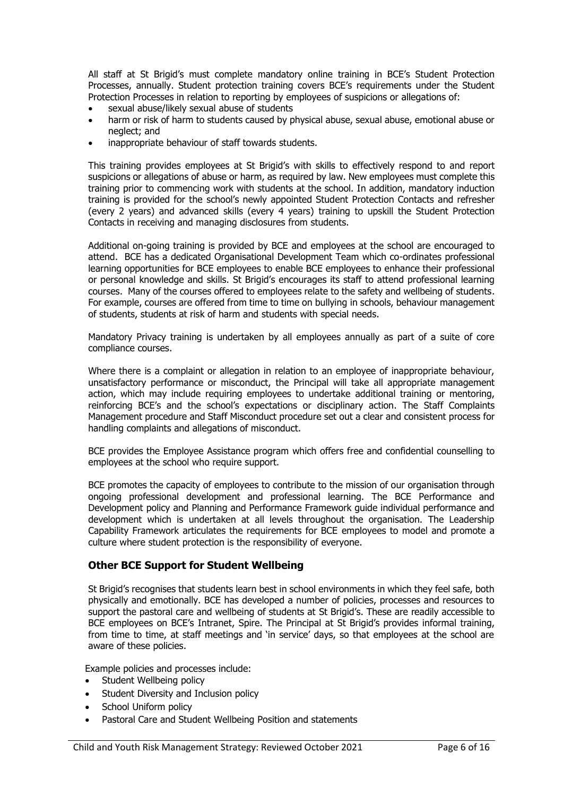All staff at St Brigid's must complete mandatory online training in BCE's Student Protection Processes, annually. Student protection training covers BCE's requirements under the Student Protection Processes in relation to reporting by employees of suspicions or allegations of:

- sexual abuse/likely sexual abuse of students
- harm or risk of harm to students caused by physical abuse, sexual abuse, emotional abuse or neglect; and
- inappropriate behaviour of staff towards students.

This training provides employees at St Brigid's with skills to effectively respond to and report suspicions or allegations of abuse or harm, as required by law. New employees must complete this training prior to commencing work with students at the school. In addition, mandatory induction training is provided for the school's newly appointed Student Protection Contacts and refresher (every 2 years) and advanced skills (every 4 years) training to upskill the Student Protection Contacts in receiving and managing disclosures from students.

Additional on-going training is provided by BCE and employees at the school are encouraged to attend. BCE has a dedicated Organisational Development Team which co-ordinates professional learning opportunities for BCE employees to enable BCE employees to enhance their professional or personal knowledge and skills. St Brigid's encourages its staff to attend professional learning courses. Many of the courses offered to employees relate to the safety and wellbeing of students. For example, courses are offered from time to time on bullying in schools, behaviour management of students, students at risk of harm and students with special needs.

Mandatory Privacy training is undertaken by all employees annually as part of a suite of core compliance courses.

Where there is a complaint or allegation in relation to an employee of inappropriate behaviour, unsatisfactory performance or misconduct, the Principal will take all appropriate management action, which may include requiring employees to undertake additional training or mentoring, reinforcing BCE's and the school's expectations or disciplinary action. The Staff Complaints Management procedure and Staff Misconduct procedure set out a clear and consistent process for handling complaints and allegations of misconduct.

BCE provides the Employee Assistance program which offers free and confidential counselling to employees at the school who require support.

BCE promotes the capacity of employees to contribute to the mission of our organisation through ongoing professional development and professional learning. The BCE Performance and Development policy and Planning and Performance Framework guide individual performance and development which is undertaken at all levels throughout the organisation. The Leadership Capability Framework articulates the requirements for BCE employees to model and promote a culture where student protection is the responsibility of everyone.

#### **Other BCE Support for Student Wellbeing**

St Brigid's recognises that students learn best in school environments in which they feel safe, both physically and emotionally. BCE has developed a number of policies, processes and resources to support the pastoral care and wellbeing of students at St Brigid's. These are readily accessible to BCE employees on BCE's Intranet, Spire. The Principal at St Brigid's provides informal training, from time to time, at staff meetings and 'in service' days, so that employees at the school are aware of these policies.

Example policies and processes include:

- Student Wellbeing policy
- Student Diversity and Inclusion policy
- School Uniform policy
- Pastoral Care and Student Wellbeing Position and statements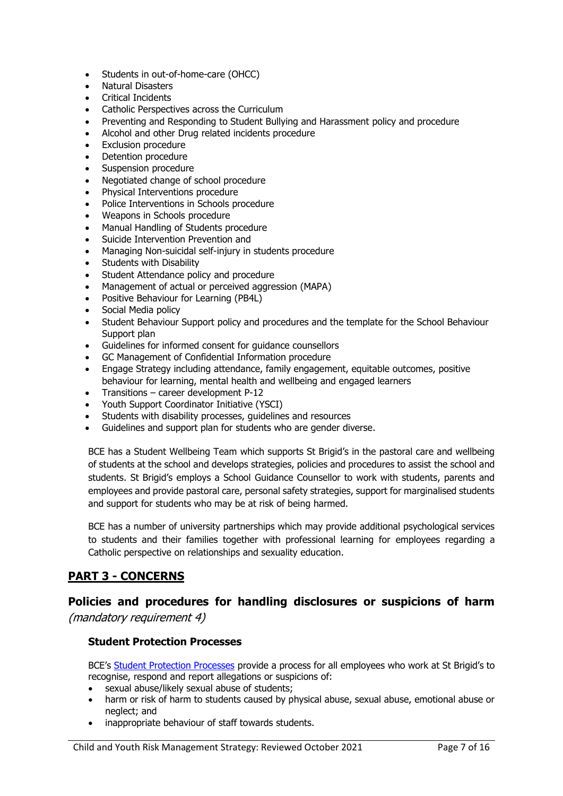- Students in out-of-home-care (OHCC)
- Natural Disasters
- Critical Incidents
- Catholic Perspectives across the Curriculum
- Preventing and Responding to Student Bullying and Harassment policy and procedure
- Alcohol and other Drug related incidents procedure
- Exclusion procedure
- Detention procedure
- Suspension procedure
- Negotiated change of school procedure
- Physical Interventions procedure
- Police Interventions in Schools procedure
- Weapons in Schools procedure
- Manual Handling of Students procedure
- Suicide Intervention Prevention and
- Managing Non-suicidal self-injury in students procedure
- Students with Disability
- Student Attendance policy and procedure
- Management of actual or perceived aggression (MAPA)
- Positive Behaviour for Learning (PB4L)
- Social Media policy
- Student Behaviour Support policy and procedures and the template for the School Behaviour Support plan
- Guidelines for informed consent for guidance counsellors
- GC Management of Confidential Information procedure
- Engage Strategy including attendance, family engagement, equitable outcomes, positive behaviour for learning, mental health and wellbeing and engaged learners
- Transitions career development P-12
- Youth Support Coordinator Initiative (YSCI)
- Students with disability processes, guidelines and resources
- Guidelines and support plan for students who are gender diverse.

BCE has a Student Wellbeing Team which supports St Brigid's in the pastoral care and wellbeing of students at the school and develops strategies, policies and procedures to assist the school and students. St Brigid's employs a School Guidance Counsellor to work with students, parents and employees and provide pastoral care, personal safety strategies, support for marginalised students and support for students who may be at risk of being harmed.

BCE has a number of university partnerships which may provide additional psychological services to students and their families together with professional learning for employees regarding a Catholic perspective on relationships and sexuality education.

# **PART 3 - CONCERNS**

# **Policies and procedures for handling disclosures or suspicions of harm**

(mandatory requirement 4)

## **Student Protection Processes**

BCE's [Student Protection Processes](http://www.bne.catholic.edu.au/students-parents/student-protection/Documents/StudentProtectionProcesses.pdf) provide a process for all employees who work at St Brigid's to recognise, respond and report allegations or suspicions of:

- sexual abuse/likely sexual abuse of students;
- harm or risk of harm to students caused by physical abuse, sexual abuse, emotional abuse or neglect; and
- inappropriate behaviour of staff towards students.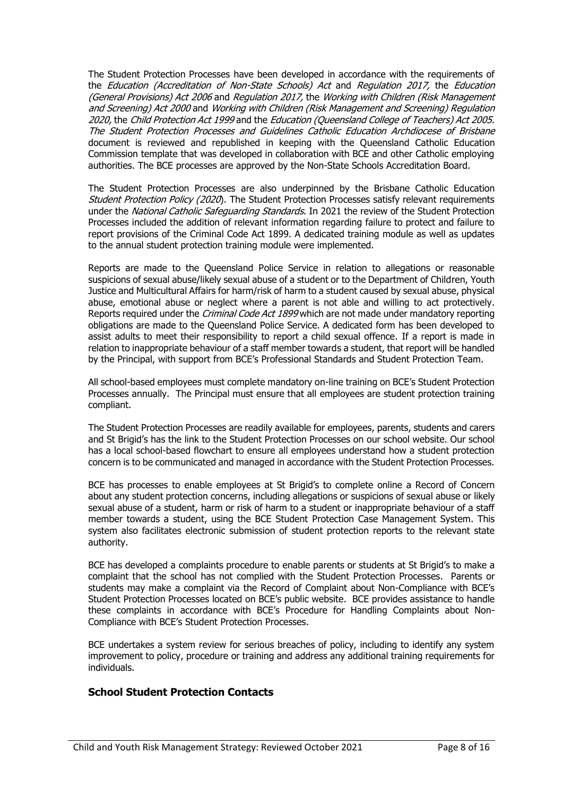The Student Protection Processes have been developed in accordance with the requirements of the Education (Accreditation of Non-State Schools) Act and Regulation 2017, the Education (General Provisions) Act 2006 and Regulation 2017, the Working with Children (Risk Management and Screening) Act 2000 and Working with Children (Risk Management and Screening) Regulation 2020, the Child Protection Act 1999 and the Education (Queensland College of Teachers) Act 2005. The Student Protection Processes and Guidelines Catholic Education Archdiocese of Brisbane document is reviewed and republished in keeping with the Queensland Catholic Education Commission template that was developed in collaboration with BCE and other Catholic employing authorities. The BCE processes are approved by the Non-State Schools Accreditation Board.

The Student Protection Processes are also underpinned by the Brisbane Catholic Education Student Protection Policy (2020). The Student Protection Processes satisfy relevant requirements under the National Catholic Safeguarding Standards. In 2021 the review of the Student Protection Processes included the addition of relevant information regarding failure to protect and failure to report provisions of the Criminal Code Act 1899. A dedicated training module as well as updates to the annual student protection training module were implemented.

Reports are made to the Queensland Police Service in relation to allegations or reasonable suspicions of sexual abuse/likely sexual abuse of a student or to the Department of Children, Youth Justice and Multicultural Affairs for harm/risk of harm to a student caused by sexual abuse, physical abuse, emotional abuse or neglect where a parent is not able and willing to act protectively. Reports required under the *Criminal Code Act 1899* which are not made under mandatory reporting obligations are made to the Queensland Police Service. A dedicated form has been developed to assist adults to meet their responsibility to report a child sexual offence. If a report is made in relation to inappropriate behaviour of a staff member towards a student, that report will be handled by the Principal, with support from BCE's Professional Standards and Student Protection Team.

All school-based employees must complete mandatory on-line training on BCE's Student Protection Processes annually. The Principal must ensure that all employees are student protection training compliant.

The Student Protection Processes are readily available for employees, parents, students and carers and St Brigid's has the link to the Student Protection Processes on our school website. Our school has a local school-based flowchart to ensure all employees understand how a student protection concern is to be communicated and managed in accordance with the Student Protection Processes.

BCE has processes to enable employees at St Brigid's to complete online a Record of Concern about any student protection concerns, including allegations or suspicions of sexual abuse or likely sexual abuse of a student, harm or risk of harm to a student or inappropriate behaviour of a staff member towards a student, using the BCE Student Protection Case Management System. This system also facilitates electronic submission of student protection reports to the relevant state authority.

BCE has developed a complaints procedure to enable parents or students at St Brigid's to make a complaint that the school has not complied with the Student Protection Processes. Parents or students may make a complaint via the Record of Complaint about Non-Compliance with BCE's Student Protection Processes located on BCE's public website. BCE provides assistance to handle these complaints in accordance with BCE's Procedure for Handling Complaints about Non-Compliance with BCE's Student Protection Processes.

BCE undertakes a system review for serious breaches of policy, including to identify any system improvement to policy, procedure or training and address any additional training requirements for individuals.

## **School Student Protection Contacts**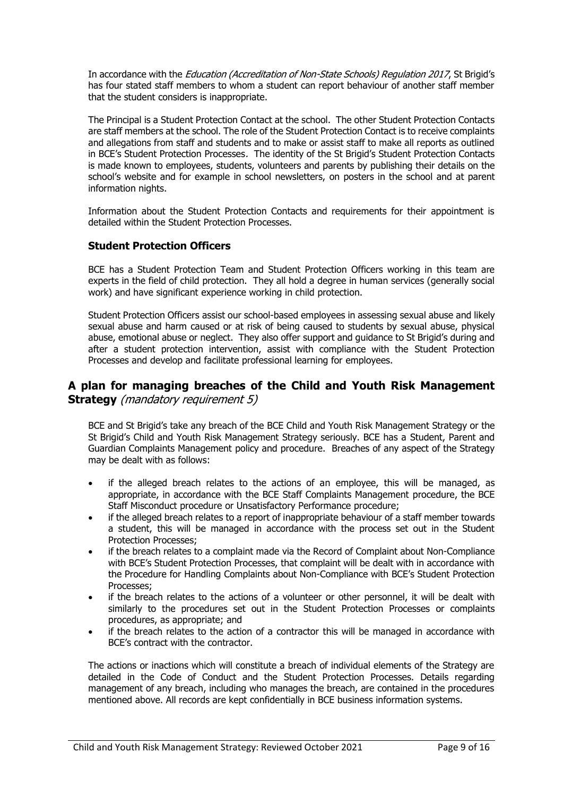In accordance with the Education (Accreditation of Non-State Schools) Regulation 2017, St Brigid's has four stated staff members to whom a student can report behaviour of another staff member that the student considers is inappropriate.

The Principal is a Student Protection Contact at the school. The other Student Protection Contacts are staff members at the school. The role of the Student Protection Contact is to receive complaints and allegations from staff and students and to make or assist staff to make all reports as outlined in BCE's Student Protection Processes. The identity of the St Brigid's Student Protection Contacts is made known to employees, students, volunteers and parents by publishing their details on the school's website and for example in school newsletters, on posters in the school and at parent information nights.

Information about the Student Protection Contacts and requirements for their appointment is detailed within the Student Protection Processes.

## **Student Protection Officers**

BCE has a Student Protection Team and Student Protection Officers working in this team are experts in the field of child protection. They all hold a degree in human services (generally social work) and have significant experience working in child protection.

Student Protection Officers assist our school-based employees in assessing sexual abuse and likely sexual abuse and harm caused or at risk of being caused to students by sexual abuse, physical abuse, emotional abuse or neglect. They also offer support and guidance to St Brigid's during and after a student protection intervention, assist with compliance with the Student Protection Processes and develop and facilitate professional learning for employees.

## **A plan for managing breaches of the Child and Youth Risk Management Strategy** (mandatory requirement 5)

BCE and St Brigid's take any breach of the BCE Child and Youth Risk Management Strategy or the St Brigid's Child and Youth Risk Management Strategy seriously. BCE has a Student, Parent and Guardian Complaints Management policy and procedure. Breaches of any aspect of the Strategy may be dealt with as follows:

- if the alleged breach relates to the actions of an employee, this will be managed, as appropriate, in accordance with the BCE Staff Complaints Management procedure, the BCE Staff Misconduct procedure or Unsatisfactory Performance procedure;
- if the alleged breach relates to a report of inappropriate behaviour of a staff member towards a student, this will be managed in accordance with the process set out in the Student Protection Processes;
- if the breach relates to a complaint made via the Record of Complaint about Non-Compliance with BCE's Student Protection Processes, that complaint will be dealt with in accordance with the Procedure for Handling Complaints about Non-Compliance with BCE's Student Protection Processes;
- if the breach relates to the actions of a volunteer or other personnel, it will be dealt with similarly to the procedures set out in the Student Protection Processes or complaints procedures, as appropriate; and
- if the breach relates to the action of a contractor this will be managed in accordance with BCE's contract with the contractor.

The actions or inactions which will constitute a breach of individual elements of the Strategy are detailed in the Code of Conduct and the Student Protection Processes. Details regarding management of any breach, including who manages the breach, are contained in the procedures mentioned above. All records are kept confidentially in BCE business information systems.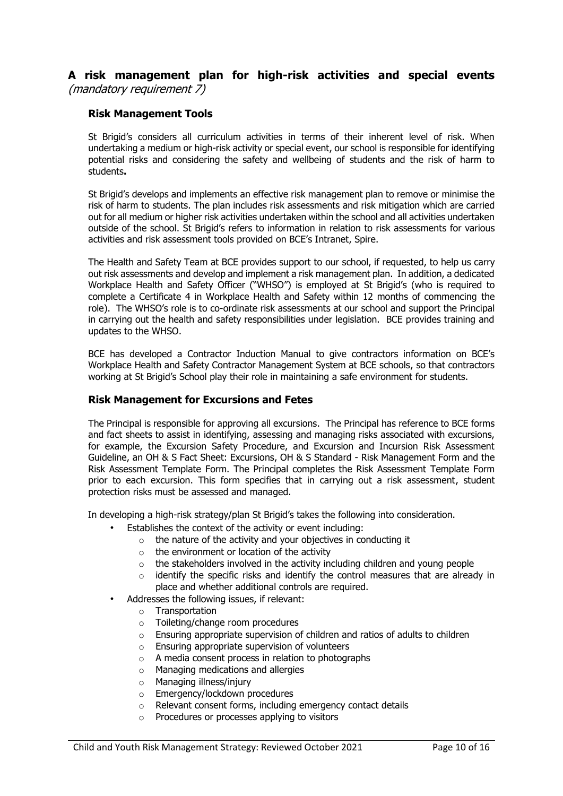**A risk management plan for high-risk activities and special events**  (mandatory requirement 7)

#### **Risk Management Tools**

St Brigid's considers all curriculum activities in terms of their inherent level of risk. When undertaking a medium or high-risk activity or special event, our school is responsible for identifying potential risks and considering the safety and wellbeing of students and the risk of harm to students**.** 

St Brigid's develops and implements an effective risk management plan to remove or minimise the risk of harm to students. The plan includes risk assessments and risk mitigation which are carried out for all medium or higher risk activities undertaken within the school and all activities undertaken outside of the school. St Brigid's refers to information in relation to risk assessments for various activities and risk assessment tools provided on BCE's Intranet, Spire.

The Health and Safety Team at BCE provides support to our school, if requested, to help us carry out risk assessments and develop and implement a risk management plan. In addition, a dedicated Workplace Health and Safety Officer ("WHSO") is employed at St Brigid's (who is required to complete a Certificate 4 in Workplace Health and Safety within 12 months of commencing the role). The WHSO's role is to co-ordinate risk assessments at our school and support the Principal in carrying out the health and safety responsibilities under legislation. BCE provides training and updates to the WHSO.

BCE has developed a Contractor Induction Manual to give contractors information on BCE's Workplace Health and Safety Contractor Management System at BCE schools, so that contractors working at St Brigid's School play their role in maintaining a safe environment for students.

#### **Risk Management for Excursions and Fetes**

The Principal is responsible for approving all excursions. The Principal has reference to BCE forms and fact sheets to assist in identifying, assessing and managing risks associated with excursions, for example, the Excursion Safety Procedure, and Excursion and Incursion Risk Assessment Guideline, an OH & S Fact Sheet: Excursions, OH & S Standard - Risk Management Form and the Risk Assessment Template Form. The Principal completes the Risk Assessment Template Form prior to each excursion. This form specifies that in carrying out a risk assessment, student protection risks must be assessed and managed.

In developing a high-risk strategy/plan St Brigid's takes the following into consideration.

- Establishes the context of the activity or event including:
	- $\circ$  the nature of the activity and your objectives in conducting it
	- o the environment or location of the activity
	- o the stakeholders involved in the activity including children and young people
	- $\circ$  identify the specific risks and identify the control measures that are already in place and whether additional controls are required.
- Addresses the following issues, if relevant:
	- o Transportation
	- o Toileting/change room procedures
	- o Ensuring appropriate supervision of children and ratios of adults to children
	- o Ensuring appropriate supervision of volunteers
	- $\circ$  A media consent process in relation to photographs
	- o Managing medications and allergies
	- o Managing illness/injury
	- o Emergency/lockdown procedures
	- o Relevant consent forms, including emergency contact details
	- o Procedures or processes applying to visitors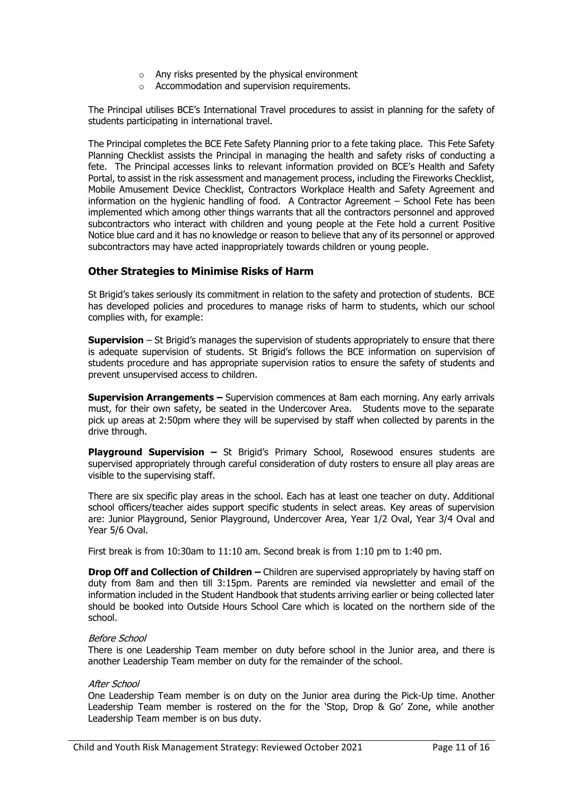- o Any risks presented by the physical environment
- o Accommodation and supervision requirements.

The Principal utilises BCE's International Travel procedures to assist in planning for the safety of students participating in international travel.

The Principal completes the BCE Fete Safety Planning prior to a fete taking place. This Fete Safety Planning Checklist assists the Principal in managing the health and safety risks of conducting a fete. The Principal accesses links to relevant information provided on BCE's Health and Safety Portal, to assist in the risk assessment and management process, including the Fireworks Checklist, Mobile Amusement Device Checklist, Contractors Workplace Health and Safety Agreement and information on the hygienic handling of food. A Contractor Agreement – School Fete has been implemented which among other things warrants that all the contractors personnel and approved subcontractors who interact with children and young people at the Fete hold a current Positive Notice blue card and it has no knowledge or reason to believe that any of its personnel or approved subcontractors may have acted inappropriately towards children or young people.

## **Other Strategies to Minimise Risks of Harm**

St Brigid's takes seriously its commitment in relation to the safety and protection of students. BCE has developed policies and procedures to manage risks of harm to students, which our school complies with, for example:

**Supervision** – St Brigid's manages the supervision of students appropriately to ensure that there is adequate supervision of students. St Brigid's follows the BCE information on supervision of students procedure and has appropriate supervision ratios to ensure the safety of students and prevent unsupervised access to children.

**Supervision Arrangements –** Supervision commences at 8am each morning. Any early arrivals must, for their own safety, be seated in the Undercover Area. Students move to the separate pick up areas at 2:50pm where they will be supervised by staff when collected by parents in the drive through.

**Playground Supervision –** St Brigid's Primary School, Rosewood ensures students are supervised appropriately through careful consideration of duty rosters to ensure all play areas are visible to the supervising staff.

There are six specific play areas in the school. Each has at least one teacher on duty. Additional school officers/teacher aides support specific students in select areas. Key areas of supervision are: Junior Playground, Senior Playground, Undercover Area, Year 1/2 Oval, Year 3/4 Oval and Year 5/6 Oval.

First break is from 10:30am to 11:10 am. Second break is from 1:10 pm to 1:40 pm.

**Drop Off and Collection of Children** – Children are supervised appropriately by having staff on duty from 8am and then till 3:15pm. Parents are reminded via newsletter and email of the information included in the Student Handbook that students arriving earlier or being collected later should be booked into Outside Hours School Care which is located on the northern side of the school.

#### Before School

There is one Leadership Team member on duty before school in the Junior area, and there is another Leadership Team member on duty for the remainder of the school.

#### After School

One Leadership Team member is on duty on the Junior area during the Pick-Up time. Another Leadership Team member is rostered on the for the 'Stop, Drop & Go' Zone, while another Leadership Team member is on bus duty.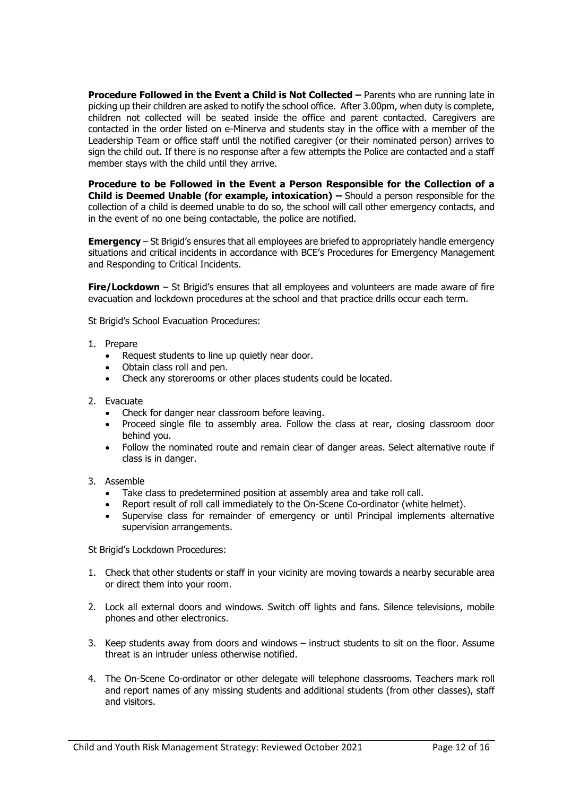**Procedure Followed in the Event a Child is Not Collected –** Parents who are running late in picking up their children are asked to notify the school office. After 3.00pm, when duty is complete, children not collected will be seated inside the office and parent contacted. Caregivers are contacted in the order listed on e-Minerva and students stay in the office with a member of the Leadership Team or office staff until the notified caregiver (or their nominated person) arrives to sign the child out. If there is no response after a few attempts the Police are contacted and a staff member stays with the child until they arrive.

**Procedure to be Followed in the Event a Person Responsible for the Collection of a Child is Deemed Unable (for example, intoxication) –** Should a person responsible for the collection of a child is deemed unable to do so, the school will call other emergency contacts, and in the event of no one being contactable, the police are notified.

**Emergency** – St Brigid's ensures that all employees are briefed to appropriately handle emergency situations and critical incidents in accordance with BCE's Procedures for Emergency Management and Responding to Critical Incidents.

**Fire/Lockdown** – St Brigid's ensures that all employees and volunteers are made aware of fire evacuation and lockdown procedures at the school and that practice drills occur each term.

St Brigid's School Evacuation Procedures:

- 1. Prepare
	- Request students to line up quietly near door.
	- Obtain class roll and pen.
	- Check any storerooms or other places students could be located.
- 2. Evacuate
	-
	- Check for danger near classroom before leaving.<br>• Proceed single file to assembly area. Follow the • Proceed single file to assembly area. Follow the class at rear, closing classroom door behind you.
	- Follow the nominated route and remain clear of danger areas. Select alternative route if class is in danger.
- 3. Assemble
	- Take class to predetermined position at assembly area and take roll call.
	- Report result of roll call immediately to the On-Scene Co-ordinator (white helmet).
	- Supervise class for remainder of emergency or until Principal implements alternative supervision arrangements.

St Brigid's Lockdown Procedures:

- 1. Check that other students or staff in your vicinity are moving towards a nearby securable area or direct them into your room.
- 2. Lock all external doors and windows. Switch off lights and fans. Silence televisions, mobile phones and other electronics.
- 3. Keep students away from doors and windows instruct students to sit on the floor. Assume threat is an intruder unless otherwise notified.
- 4. The On-Scene Co-ordinator or other delegate will telephone classrooms. Teachers mark roll and report names of any missing students and additional students (from other classes), staff and visitors.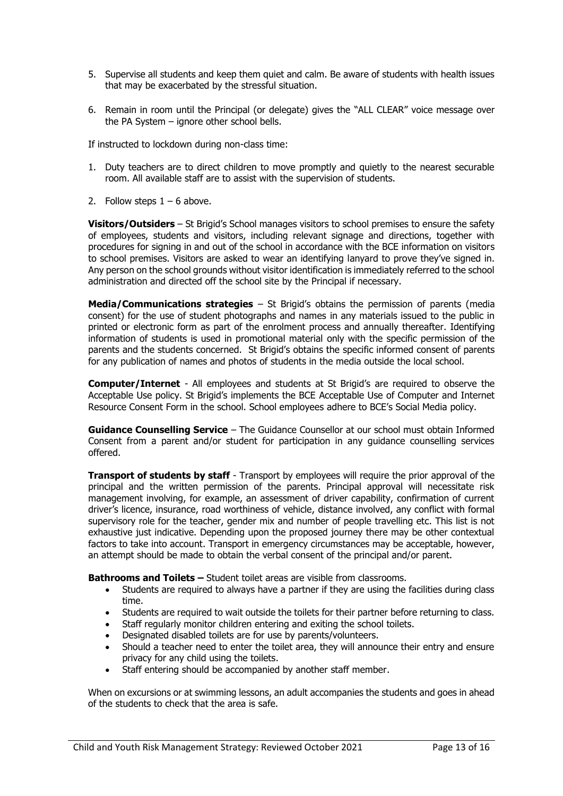- 5. Supervise all students and keep them quiet and calm. Be aware of students with health issues that may be exacerbated by the stressful situation.
- 6. Remain in room until the Principal (or delegate) gives the "ALL CLEAR" voice message over the PA System – ignore other school bells.

If instructed to lockdown during non-class time:

- 1. Duty teachers are to direct children to move promptly and quietly to the nearest securable room. All available staff are to assist with the supervision of students.
- 2. Follow steps  $1 6$  above.

**Visitors/Outsiders** – St Brigid's School manages visitors to school premises to ensure the safety of employees, students and visitors, including relevant signage and directions, together with procedures for signing in and out of the school in accordance with the BCE information on visitors to school premises. Visitors are asked to wear an identifying lanyard to prove they've signed in. Any person on the school grounds without visitor identification is immediately referred to the school administration and directed off the school site by the Principal if necessary.

**Media/Communications strategies** – St Brigid's obtains the permission of parents (media consent) for the use of student photographs and names in any materials issued to the public in printed or electronic form as part of the enrolment process and annually thereafter. Identifying information of students is used in promotional material only with the specific permission of the parents and the students concerned. St Brigid's obtains the specific informed consent of parents for any publication of names and photos of students in the media outside the local school.

**Computer/Internet** - All employees and students at St Brigid's are required to observe the Acceptable Use policy. St Brigid's implements the BCE Acceptable Use of Computer and Internet Resource Consent Form in the school. School employees adhere to BCE's Social Media policy.

**Guidance Counselling Service** – The Guidance Counsellor at our school must obtain Informed Consent from a parent and/or student for participation in any guidance counselling services offered.

**Transport of students by staff** - Transport by employees will require the prior approval of the principal and the written permission of the parents. Principal approval will necessitate risk management involving, for example, an assessment of driver capability, confirmation of current driver's licence, insurance, road worthiness of vehicle, distance involved, any conflict with formal supervisory role for the teacher, gender mix and number of people travelling etc. This list is not exhaustive just indicative. Depending upon the proposed journey there may be other contextual factors to take into account. Transport in emergency circumstances may be acceptable, however, an attempt should be made to obtain the verbal consent of the principal and/or parent.

**Bathrooms and Toilets –** Student toilet areas are visible from classrooms.

- Students are required to always have a partner if they are using the facilities during class time.
- Students are required to wait outside the toilets for their partner before returning to class.
- Staff regularly monitor children entering and exiting the school toilets.
- Designated disabled toilets are for use by parents/volunteers.
- Should a teacher need to enter the toilet area, they will announce their entry and ensure privacy for any child using the toilets.
- Staff entering should be accompanied by another staff member.

When on excursions or at swimming lessons, an adult accompanies the students and goes in ahead of the students to check that the area is safe.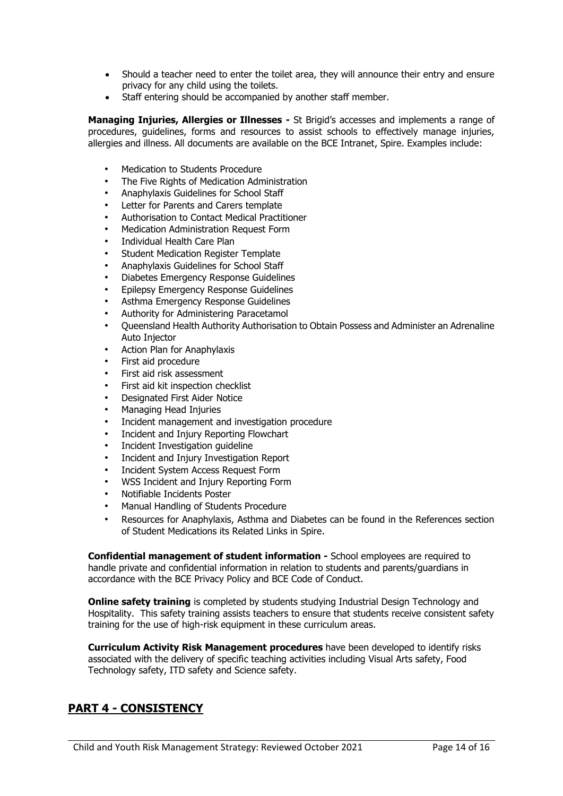- Should a teacher need to enter the toilet area, they will announce their entry and ensure privacy for any child using the toilets.
- Staff entering should be accompanied by another staff member.

**Managing Injuries, Allergies or Illnesses -** St Brigid's accesses and implements a range of procedures, guidelines, forms and resources to assist schools to effectively manage injuries, allergies and illness. All documents are available on the BCE Intranet, Spire. Examples include:

- Medication to Students Procedure
- The Five Rights of Medication Administration
- Anaphylaxis Guidelines for School Staff
- Letter for Parents and Carers template
- Authorisation to Contact Medical Practitioner
- Medication Administration Request Form
- Individual Health Care Plan
- Student Medication Register Template
- Anaphylaxis Guidelines for School Staff
- Diabetes Emergency Response Guidelines
- Epilepsy Emergency Response Guidelines
- Asthma Emergency Response Guidelines
- Authority for Administering Paracetamol
- Queensland Health Authority Authorisation to Obtain Possess and Administer an Adrenaline Auto Injector
- Action Plan for Anaphylaxis
- First aid procedure
- First aid risk assessment
- First aid kit inspection checklist
- Designated First Aider Notice
- Managing Head Injuries
- Incident management and investigation procedure
- Incident and Injury Reporting Flowchart
- Incident Investigation guideline
- Incident and Injury Investigation Report
- Incident System Access Request Form
- WSS Incident and Injury Reporting Form
- Notifiable Incidents Poster
- Manual Handling of Students Procedure
- Resources for Anaphylaxis, Asthma and Diabetes can be found in the References section of Student Medications its Related Links in Spire.

**Confidential management of student information -** School employees are required to handle private and confidential information in relation to students and parents/guardians in accordance with the BCE Privacy Policy and BCE Code of Conduct.

**Online safety training** is completed by students studying Industrial Design Technology and Hospitality. This safety training assists teachers to ensure that students receive consistent safety training for the use of high-risk equipment in these curriculum areas.

**Curriculum Activity Risk Management procedures** have been developed to identify risks associated with the delivery of specific teaching activities including Visual Arts safety, Food Technology safety, ITD safety and Science safety.

# **PART 4 - CONSISTENCY**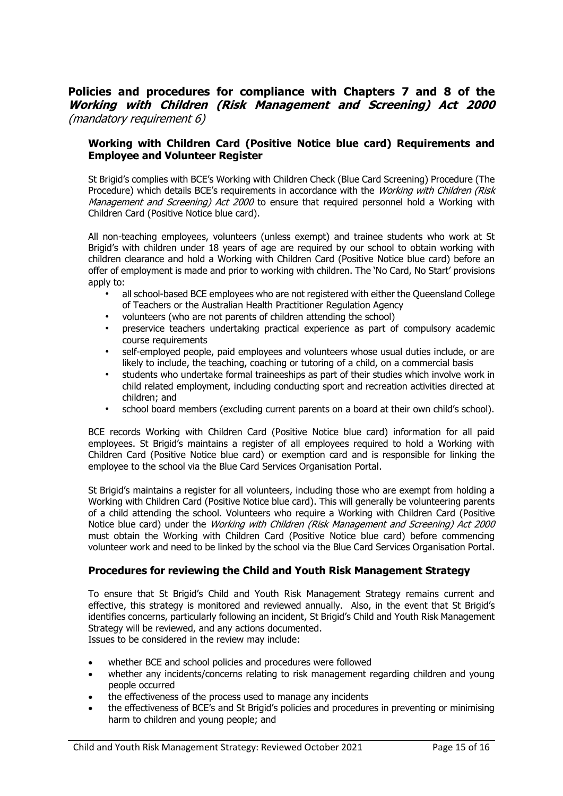## **Policies and procedures for compliance with Chapters 7 and 8 of the Working with Children (Risk Management and Screening) Act 2000** (mandatory requirement 6)

### **Working with Children Card (Positive Notice blue card) Requirements and Employee and Volunteer Register**

St Brigid's complies with BCE's Working with Children Check (Blue Card Screening) Procedure (The Procedure) which details BCE's requirements in accordance with the Working with Children (Risk Management and Screening) Act 2000 to ensure that required personnel hold a Working with Children Card (Positive Notice blue card).

All non-teaching employees, volunteers (unless exempt) and trainee students who work at St Brigid's with children under 18 years of age are required by our school to obtain working with children clearance and hold a Working with Children Card (Positive Notice blue card) before an offer of employment is made and prior to working with children. The 'No Card, No Start' provisions apply to:

- all school-based BCE employees who are not registered with either the Queensland College of Teachers or the Australian Health Practitioner Regulation Agency
- volunteers (who are not parents of children attending the school)
- preservice teachers undertaking practical experience as part of compulsory academic course requirements
- self-employed people, paid employees and volunteers whose usual duties include, or are likely to include, the teaching, coaching or tutoring of a child, on a commercial basis
- students who undertake formal traineeships as part of their studies which involve work in child related employment, including conducting sport and recreation activities directed at children; and
- school board members (excluding current parents on a board at their own child's school).

BCE records Working with Children Card (Positive Notice blue card) information for all paid employees. St Brigid's maintains a register of all employees required to hold a Working with Children Card (Positive Notice blue card) or exemption card and is responsible for linking the employee to the school via the Blue Card Services Organisation Portal.

St Brigid's maintains a register for all volunteers, including those who are exempt from holding a Working with Children Card (Positive Notice blue card). This will generally be volunteering parents of a child attending the school. Volunteers who require a Working with Children Card (Positive Notice blue card) under the Working with Children (Risk Management and Screening) Act 2000 must obtain the Working with Children Card (Positive Notice blue card) before commencing volunteer work and need to be linked by the school via the Blue Card Services Organisation Portal.

#### **Procedures for reviewing the Child and Youth Risk Management Strategy**

To ensure that St Brigid's Child and Youth Risk Management Strategy remains current and effective, this strategy is monitored and reviewed annually. Also, in the event that St Brigid's identifies concerns, particularly following an incident, St Brigid's Child and Youth Risk Management Strategy will be reviewed, and any actions documented. Issues to be considered in the review may include:

• whether BCE and school policies and procedures were followed

- whether any incidents/concerns relating to risk management regarding children and young people occurred
- the effectiveness of the process used to manage any incidents
- the effectiveness of BCE's and St Brigid's policies and procedures in preventing or minimising harm to children and young people; and